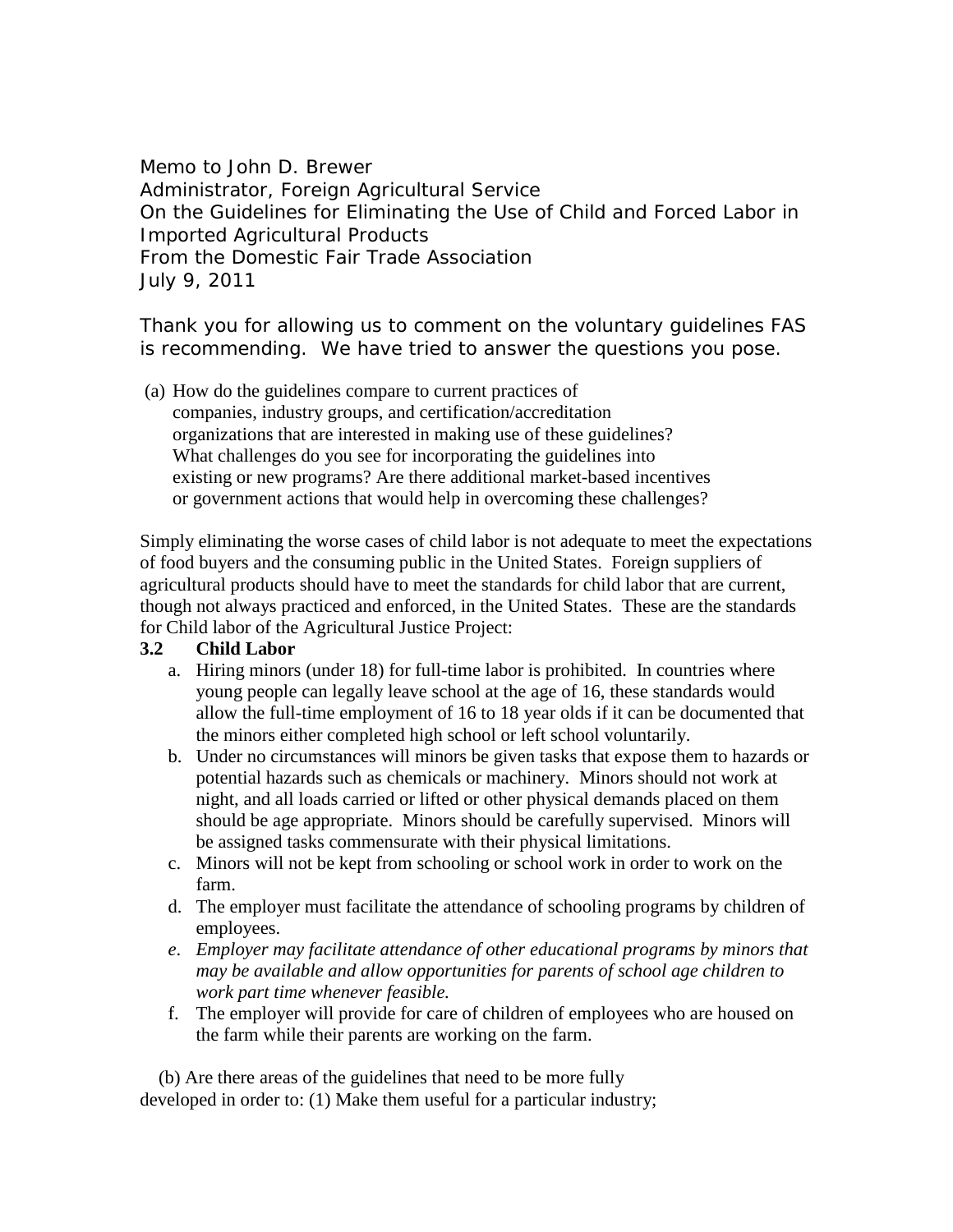Memo to John D. Brewer Administrator, Foreign Agricultural Service On the Guidelines for Eliminating the Use of Child and Forced Labor in Imported Agricultural Products From the Domestic Fair Trade Association July 9, 2011

Thank you for allowing us to comment on the voluntary guidelines FAS is recommending. We have tried to answer the questions you pose.

(a) How do the guidelines compare to current practices of companies, industry groups, and certification/accreditation organizations that are interested in making use of these guidelines? What challenges do you see for incorporating the guidelines into existing or new programs? Are there additional market-based incentives or government actions that would help in overcoming these challenges?

Simply eliminating the worse cases of child labor is not adequate to meet the expectations of food buyers and the consuming public in the United States. Foreign suppliers of agricultural products should have to meet the standards for child labor that are current, though not always practiced and enforced, in the United States. These are the standards for Child labor of the Agricultural Justice Project:

## **3.2 Child Labor**

- a. Hiring minors (under 18) for full-time labor is prohibited. In countries where young people can legally leave school at the age of 16, these standards would allow the full-time employment of 16 to 18 year olds if it can be documented that the minors either completed high school or left school voluntarily.
- b. Under no circumstances will minors be given tasks that expose them to hazards or potential hazards such as chemicals or machinery. Minors should not work at night, and all loads carried or lifted or other physical demands placed on them should be age appropriate. Minors should be carefully supervised. Minors will be assigned tasks commensurate with their physical limitations.
- c. Minors will not be kept from schooling or school work in order to work on the farm.
- d. The employer must facilitate the attendance of schooling programs by children of employees.
- *e*. *Employer may facilitate attendance of other educational programs by minors that may be available and allow opportunities for parents of school age children to work part time whenever feasible.*
- f. The employer will provide for care of children of employees who are housed on the farm while their parents are working on the farm.

 (b) Are there areas of the guidelines that need to be more fully developed in order to: (1) Make them useful for a particular industry;